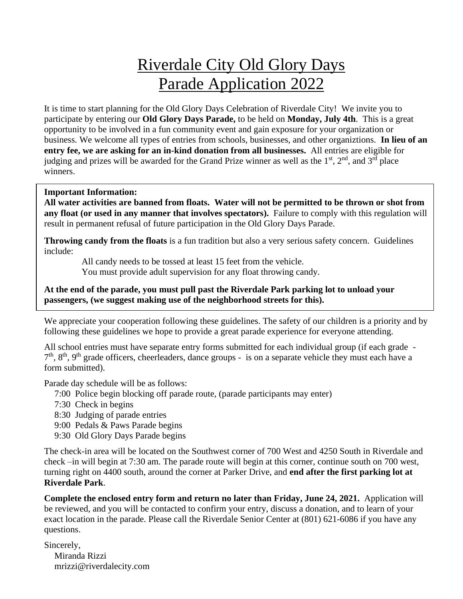## Riverdale City Old Glory Days Parade Application 2022

It is time to start planning for the Old Glory Days Celebration of Riverdale City! We invite you to participate by entering our **Old Glory Days Parade,** to be held on **Monday, July 4th**. This is a great opportunity to be involved in a fun community event and gain exposure for your organization or business. We welcome all types of entries from schools, businesses, and other organiztions. **In lieu of an entry fee, we are asking for an in-kind donation from all businesses.** All entries are eligible for judging and prizes will be awarded for the Grand Prize winner as well as the  $1<sup>st</sup>$ ,  $2<sup>nd</sup>$ , and  $3<sup>rd</sup>$  place winners.

## **Important Information:**

**All water activities are banned from floats. Water will not be permitted to be thrown or shot from any float (or used in any manner that involves spectators).** Failure to comply with this regulation will result in permanent refusal of future participation in the Old Glory Days Parade.

**Throwing candy from the floats** is a fun tradition but also a very serious safety concern. Guidelines include:

All candy needs to be tossed at least 15 feet from the vehicle.

You must provide adult supervision for any float throwing candy.

**At the end of the parade, you must pull past the Riverdale Park parking lot to unload your passengers, (we suggest making use of the neighborhood streets for this).**

We appreciate your cooperation following these guidelines. The safety of our children is a priority and by following these guidelines we hope to provide a great parade experience for everyone attending.

All school entries must have separate entry forms submitted for each individual group (if each grade -  $7<sup>th</sup>$ ,  $8<sup>th</sup>$ ,  $9<sup>th</sup>$  grade officers, cheerleaders, dance groups - is on a separate vehicle they must each have a form submitted).

Parade day schedule will be as follows:

- 7:00 Police begin blocking off parade route, (parade participants may enter)
- 7:30 Check in begins
- 8:30 Judging of parade entries
- 9:00 Pedals & Paws Parade begins
- 9:30 Old Glory Days Parade begins

The check-in area will be located on the Southwest corner of 700 West and 4250 South in Riverdale and check –in will begin at 7:30 am. The parade route will begin at this corner, continue south on 700 west, turning right on 4400 south, around the corner at Parker Drive, and **end after the first parking lot at Riverdale Park**.

**Complete the enclosed entry form and return no later than Friday, June 24, 2021.** Application will be reviewed, and you will be contacted to confirm your entry, discuss a donation, and to learn of your exact location in the parade. Please call the Riverdale Senior Center at (801) 621-6086 if you have any questions.

Sincerely, Miranda Rizzi mrizzi@riverdalecity.com